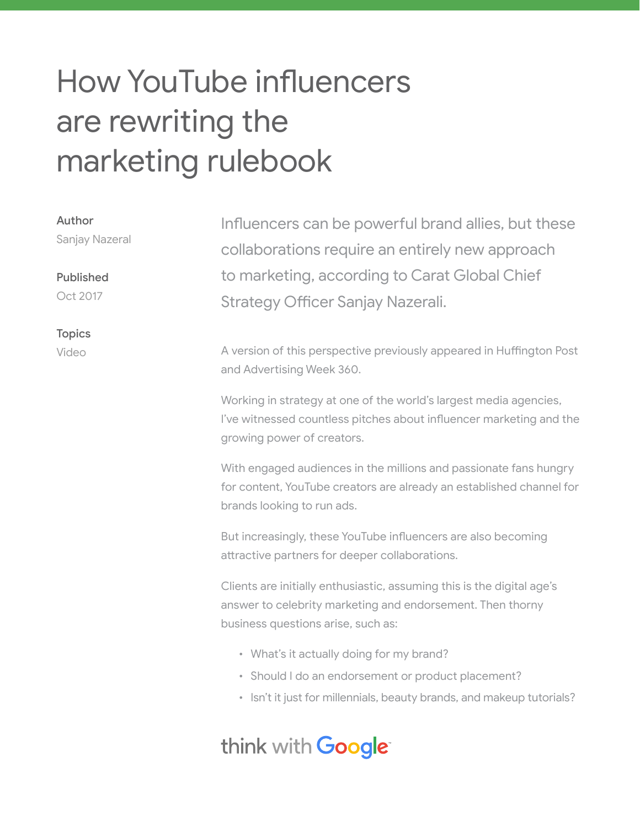# How YouTube influencers are rewriting the marketing rulebook

| Author<br>Sanjay Nazeral | Influencers can be powerful brand allies, but these<br>collaborations require an entirely new approach                                                                     |
|--------------------------|----------------------------------------------------------------------------------------------------------------------------------------------------------------------------|
| <b>Published</b>         | to marketing, according to Carat Global Chief                                                                                                                              |
| Oct 2017                 | Strategy Officer Sanjay Nazerali.                                                                                                                                          |
| <b>Topics</b>            |                                                                                                                                                                            |
| Video                    | A version of this perspective previously appeared in Huffington Post<br>and Advertising Week 360.                                                                          |
|                          | Working in strategy at one of the world's largest media agencies,<br>I've witnessed countless pitches about influencer marketing and the<br>growing power of creators.     |
|                          | With engaged audiences in the millions and passionate fans hungry<br>for content, YouTube creators are already an established channel for<br>brands looking to run ads.    |
|                          | But increasingly, these YouTube influencers are also becoming<br>attractive partners for deeper collaborations.                                                            |
|                          | Clients are initially enthusiastic, assuming this is the digital age's<br>answer to celebrity marketing and endorsement. Then thorny<br>business questions arise, such as: |
|                          | • What's it actually doing for my brand?                                                                                                                                   |
|                          | • Should I do an endorsement or product placement?                                                                                                                         |
|                          | • Isn't it just for millennials, beauty brands, and makeup tutorials?                                                                                                      |

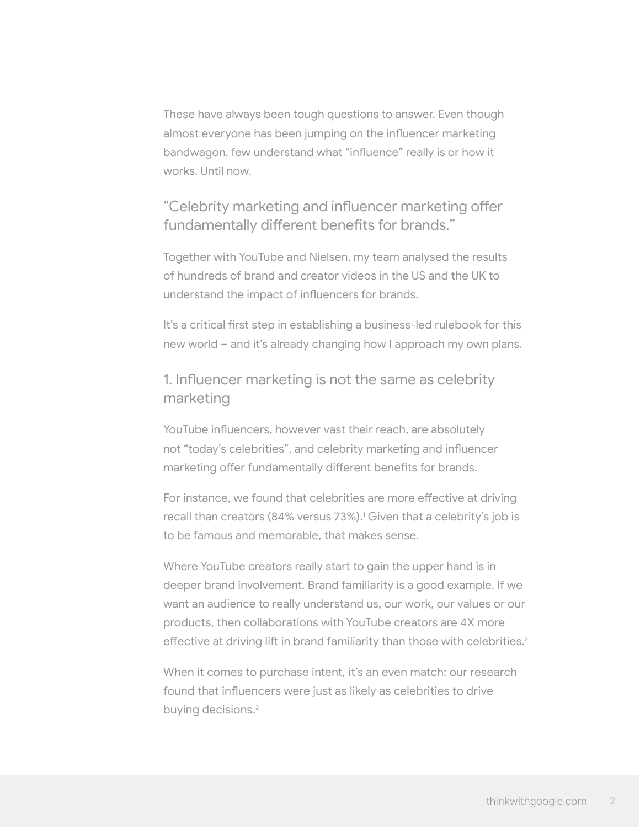These have always been tough questions to answer. Even though almost everyone has been jumping on the influencer marketing bandwagon, few understand what "influence" really is or how it works. Until now.

"Celebrity marketing and influencer marketing offer fundamentally different benefits for brands."

Together with YouTube and Nielsen, my team analysed the results of hundreds of brand and creator videos in the US and the UK to understand the impact of influencers for brands.

It's a critical first step in establishing a business-led rulebook for this new world – and it's already changing how I approach my own plans.

### 1. Influencer marketing is not the same as celebrity marketing

YouTube influencers, however vast their reach, are absolutely not "today's celebrities", and celebrity marketing and influencer marketing offer fundamentally different benefits for brands.

For instance, we found that celebrities are more effective at driving recall than creators (84% versus 73%).<sup>1</sup> Given that a celebrity's job is to be famous and memorable, that makes sense.

Where YouTube creators really start to gain the upper hand is in deeper brand involvement. Brand familiarity is a good example. If we want an audience to really understand us, our work, our values or our products, then collaborations with YouTube creators are 4X more effective at driving lift in brand familiarity than those with celebrities.<sup>2</sup>

When it comes to purchase intent, it's an even match: our research found that influencers were just as likely as celebrities to drive buying decisions.<sup>3</sup>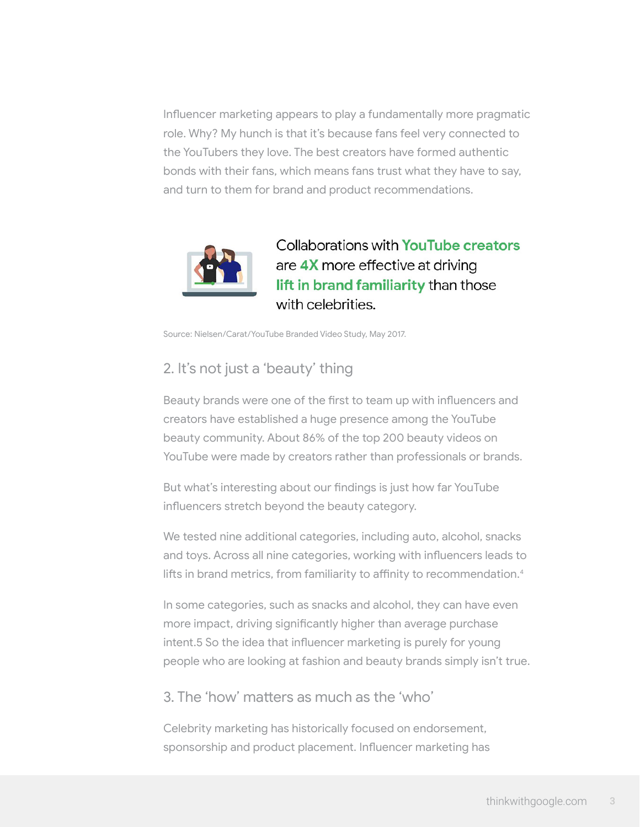Influencer marketing appears to play a fundamentally more pragmatic role. Why? My hunch is that it's because fans feel very connected to the YouTubers they love. The best creators have formed authentic bonds with their fans, which means fans trust what they have to say, and turn to them for brand and product recommendations.



Collaborations with YouTube creators are 4X more effective at driving lift in brand familiarity than those with celebrities.

Source: Nielsen/Carat/YouTube Branded Video Study, May 2017.

## 2. It's not just a 'beauty' thing

Beauty brands were one of the first to team up with influencers and creators have established a huge presence among the YouTube beauty community. About 86% of the top 200 beauty videos on YouTube were made by creators rather than professionals or brands.

But what's interesting about our findings is just how far YouTube influencers stretch beyond the beauty category.

We tested nine additional categories, including auto, alcohol, snacks and toys. Across all nine categories, working with influencers leads to lifts in brand metrics, from familiarity to affinity to recommendation.<sup>4</sup>

In some categories, such as snacks and alcohol, they can have even more impact, driving significantly higher than average purchase intent.5 So the idea that influencer marketing is purely for young people who are looking at fashion and beauty brands simply isn't true.

3. The 'how' matters as much as the 'who'

Celebrity marketing has historically focused on endorsement, sponsorship and product placement. Influencer marketing has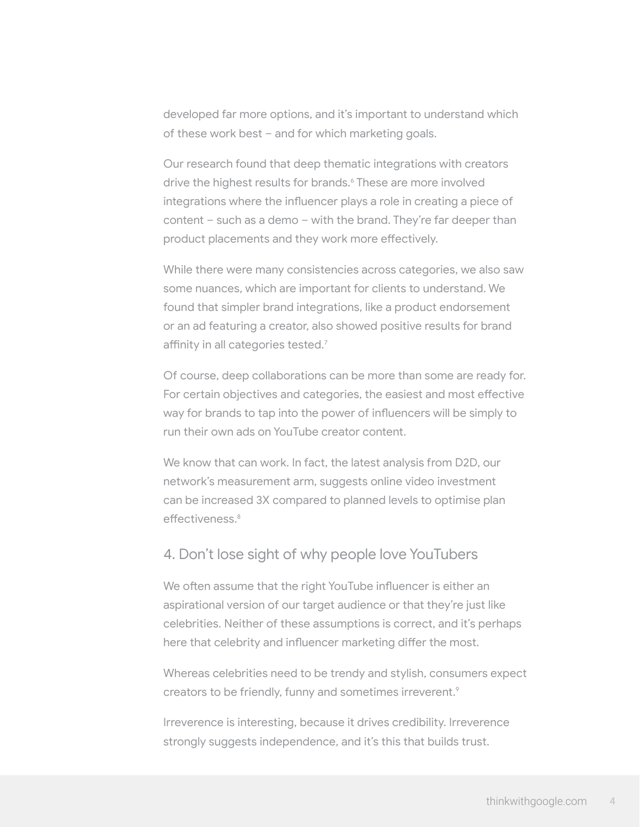developed far more options, and it's important to understand which of these work best – and for which marketing goals.

Our research found that deep thematic integrations with creators drive the highest results for brands.<sup>6</sup> These are more involved integrations where the influencer plays a role in creating a piece of content – such as a demo – with the brand. They're far deeper than product placements and they work more effectively.

While there were many consistencies across categories, we also saw some nuances, which are important for clients to understand. We found that simpler brand integrations, like a product endorsement or an ad featuring a creator, also showed positive results for brand affinity in all categories tested.<sup>7</sup>

Of course, deep collaborations can be more than some are ready for. For certain objectives and categories, the easiest and most effective way for brands to tap into the power of influencers will be simply to run their own ads on YouTube creator content.

We know that can work. In fact, the latest analysis from D2D, our network's measurement arm, suggests online video investment can be increased 3X compared to planned levels to optimise plan effectiveness.<sup>8</sup>

#### 4. Don't lose sight of why people love YouTubers

We often assume that the right YouTube influencer is either an aspirational version of our target audience or that they're just like celebrities. Neither of these assumptions is correct, and it's perhaps here that celebrity and influencer marketing differ the most.

Whereas celebrities need to be trendy and stylish, consumers expect creators to be friendly, funny and sometimes irreverent.<sup>9</sup>

Irreverence is interesting, because it drives credibility. Irreverence strongly suggests independence, and it's this that builds trust.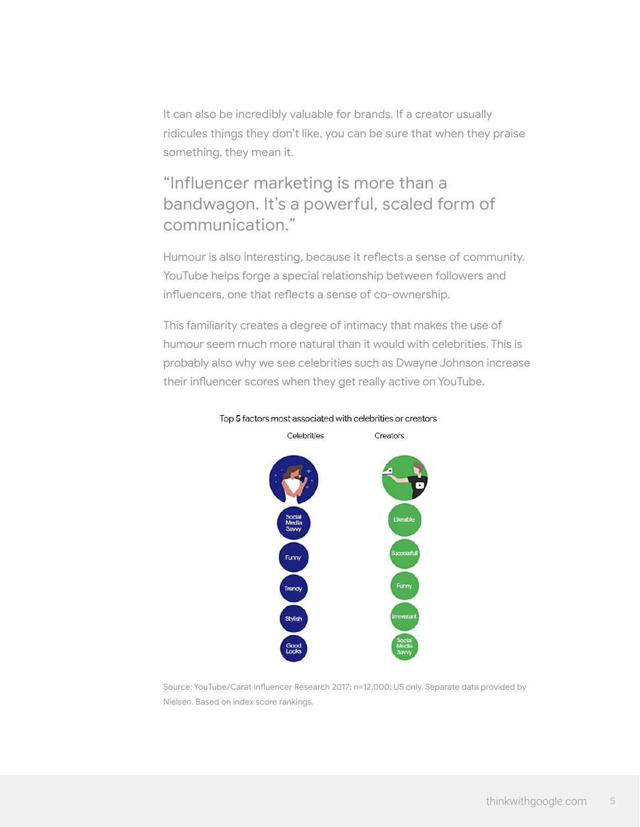It can also be incredibly valuable for brands. If a creator usually ridicules things they don't like, you can be sure that when they praise something, they mean it.

# "Influencer marketing is more than a bandwagon. It's a powerful, scaled form of communication."

Humour is also interesting, because it reflects a sense of community. YouTube helps forge a special relationship between followers and influencers, one that reflects a sense of co-ownership.

This familiarity creates a degree of intimacy that makes the use of humour seem much more natural than it would with celebrities. This is probably also why we see celebrities such as Dwayne Johnson increase their influencer scores when they get really active on YouTube.



Top 5 factors most associated with celebrities or creators

Source: YouTube/Carat Influencer Research 2017; n=12,000; US only. Separate data provided by Nielsen. Based on index score rankings.